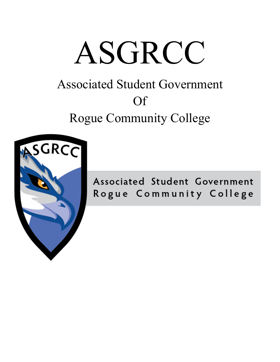# ASGRCC

# Associated Student Government Of Rogue Community College



Associated Student Government Rogue Community College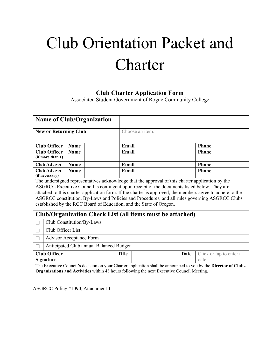# Club Orientation Packet and **Charter**

## **Club Charter Application Form**

Associated Student Government of Rogue Community College

| <b>Name of Club/Organization</b>                                                                                                                                                                                                                                                                                                                                                                                                                                                      |                                                                                                                                                                                                                       |             |                 |       |                |       |                         |  |
|---------------------------------------------------------------------------------------------------------------------------------------------------------------------------------------------------------------------------------------------------------------------------------------------------------------------------------------------------------------------------------------------------------------------------------------------------------------------------------------|-----------------------------------------------------------------------------------------------------------------------------------------------------------------------------------------------------------------------|-------------|-----------------|-------|----------------|-------|-------------------------|--|
| <b>New or Returning Club</b>                                                                                                                                                                                                                                                                                                                                                                                                                                                          |                                                                                                                                                                                                                       |             | Choose an item. |       |                |       |                         |  |
|                                                                                                                                                                                                                                                                                                                                                                                                                                                                                       |                                                                                                                                                                                                                       |             |                 |       |                |       |                         |  |
|                                                                                                                                                                                                                                                                                                                                                                                                                                                                                       | <b>Club Officer</b>                                                                                                                                                                                                   | Name        |                 |       | Email<br>Phone |       |                         |  |
| <b>Club Officer</b><br><b>Name</b><br>(if more than 1)                                                                                                                                                                                                                                                                                                                                                                                                                                |                                                                                                                                                                                                                       | Email       |                 |       | <b>Phone</b>   |       |                         |  |
|                                                                                                                                                                                                                                                                                                                                                                                                                                                                                       | <b>Club Advisor</b>                                                                                                                                                                                                   | <b>Name</b> |                 | Email |                |       | Phone                   |  |
| <b>Club Advisor</b><br><b>Name</b><br>(if necessary)                                                                                                                                                                                                                                                                                                                                                                                                                                  |                                                                                                                                                                                                                       | Email       |                 |       | Phone          |       |                         |  |
| The undersigned representatives acknowledge that the approval of this charter application by the<br>ASGRCC Executive Council is contingent upon receipt of the documents listed below. They are<br>attached to this charter application form. If the charter is approved, the members agree to adhere to the<br>ASGRCC constitution, By-Laws and Policies and Procedures, and all rules governing ASGRCC Clubs<br>established by the RCC Board of Education, and the State of Oregon. |                                                                                                                                                                                                                       |             |                 |       |                |       |                         |  |
| Club/Organization Check List (all items must be attached)                                                                                                                                                                                                                                                                                                                                                                                                                             |                                                                                                                                                                                                                       |             |                 |       |                |       |                         |  |
| Club Constitution/By-Laws<br>П                                                                                                                                                                                                                                                                                                                                                                                                                                                        |                                                                                                                                                                                                                       |             |                 |       |                |       |                         |  |
| $\Box$                                                                                                                                                                                                                                                                                                                                                                                                                                                                                | Club Officer List                                                                                                                                                                                                     |             |                 |       |                |       |                         |  |
| $\Box$                                                                                                                                                                                                                                                                                                                                                                                                                                                                                | <b>Advisor Acceptance Form</b>                                                                                                                                                                                        |             |                 |       |                |       |                         |  |
| П                                                                                                                                                                                                                                                                                                                                                                                                                                                                                     | Anticipated Club annual Balanced Budget                                                                                                                                                                               |             |                 |       |                |       |                         |  |
|                                                                                                                                                                                                                                                                                                                                                                                                                                                                                       | <b>Club Officer</b><br><b>Signature</b>                                                                                                                                                                               |             | <b>Title</b>    |       | Date           | date. | Click or tap to enter a |  |
|                                                                                                                                                                                                                                                                                                                                                                                                                                                                                       | The Executive Council's decision on your Charter application shall be announced to you by the Director of Clubs,<br><b>Organizations and Activities</b> within 48 hours following the next Executive Council Meeting. |             |                 |       |                |       |                         |  |

ASGRCC Policy #1090, Attachment 1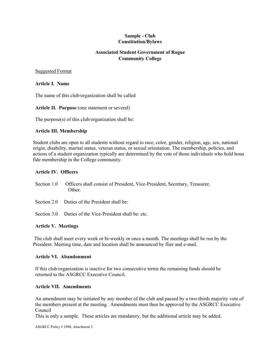#### **Sample - Club Constitution/Bylaws**

#### **Associated Student Government of Rogue Community College**

#### Suggested Format

#### **Article I. Name**

The name of this club/organization shall be called

#### **Article II. Purpose** (one statement or several)

The purpose(s) of this club/organization shall be:

#### **Article III. Membership**

Student clubs are open to all students without regard to race, color, gender, religion, age, sex, national origin, disability, marital status, veteran status, or sexual orientation. The membership, policies, and actions of a student organization typically are determined by the vote of those individuals who hold bona fide membership in the College community.

#### **Article IV. Officers**

- Section 1.0 Officers shall consist of President, Vice-President, Secretary, Treasurer, Other.
- Section 2.0 Duties of the President shall be:
- Section 3.0 Duties of the Vice-President shall be: etc.

#### **Article V. Meetings**

 The club shall meet every week or bi-weekly or once a month. The meetings shall be run by the President. Meeting time, date and location shall be announced by flier and e-mail.

#### **Article VI. Abandonment**

If this club/organization is inactive for two consecutive terms the remaining funds should be returned to the ASGRCC Executive Council.

#### **Article VII. Amendments**

An amendment may be initiated by any member of the club and passed by a two-thirds majority vote of the members present at the meeting. Amendments must then be approved by the ASGRCC Executive Council

This is only a sample. These articles are mandatory, but the additional article may be added.

ASGRCC Policy # 1090, Attachment 2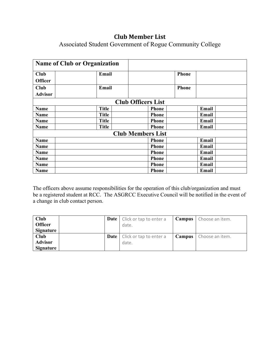## **Club Member List**

Associated Student Government of Rogue Community College

|                | <b>Name of Club or Organization</b> |                           |              |              |  |
|----------------|-------------------------------------|---------------------------|--------------|--------------|--|
| <b>Club</b>    | Email                               |                           |              | <b>Phone</b> |  |
| <b>Officer</b> |                                     |                           |              |              |  |
| <b>Club</b>    | Email                               |                           |              | <b>Phone</b> |  |
| <b>Advisor</b> |                                     |                           |              |              |  |
|                |                                     | <b>Club Officers List</b> |              |              |  |
| <b>Name</b>    | <b>Title</b>                        |                           | <b>Phone</b> | Email        |  |
| Name           | <b>Title</b>                        |                           | <b>Phone</b> | Email        |  |
| <b>Name</b>    | <b>Title</b>                        |                           | <b>Phone</b> | Email        |  |
| <b>Name</b>    | <b>Title</b>                        |                           | <b>Phone</b> | Email        |  |
|                |                                     | <b>Club Members List</b>  |              |              |  |
| <b>Name</b>    |                                     |                           | <b>Phone</b> | Email        |  |
| <b>Name</b>    |                                     |                           | <b>Phone</b> | <b>Email</b> |  |
| <b>Name</b>    |                                     |                           | <b>Phone</b> | Email        |  |
| <b>Name</b>    |                                     |                           | <b>Phone</b> | Email        |  |
| <b>Name</b>    |                                     |                           | <b>Phone</b> | Email        |  |
| Name           |                                     |                           | <b>Phone</b> | <b>Email</b> |  |

 a change in club contact person. The officers above assume responsibilities for the operation of this club/organization and must be a registered student at RCC. The ASGRCC Executive Council will be notified in the event of

| Club           |      | <b>Date</b>   Click or tap to enter a | Campus | Choose an item.               |
|----------------|------|---------------------------------------|--------|-------------------------------|
| <b>Officer</b> |      | date.                                 |        |                               |
| Signature      |      |                                       |        |                               |
| Club           | Date | Click or tap to enter a               |        | <b>Campus</b> Choose an item. |
| <b>Advisor</b> |      | date.                                 |        |                               |
| Signature      |      |                                       |        |                               |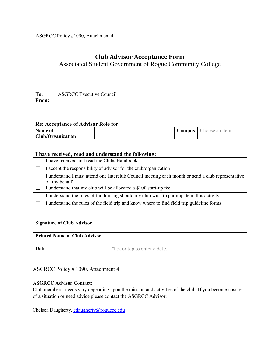ASGRCC Policy #1090, Attachment 4

## **Club Advisor Acceptance Form**

Associated Student Government of Rogue Community College

| Fo:          | <b>ASGRCC Executive Council</b> |
|--------------|---------------------------------|
| <b>From:</b> |                                 |
|              |                                 |

| Re: Acceptance of Advisor Role for |  |  |                                 |  |  |
|------------------------------------|--|--|---------------------------------|--|--|
| Name of                            |  |  | <b>Campus</b>   Choose an item. |  |  |
| <b>Club/Organization</b>           |  |  |                                 |  |  |

| I have received, read and understand the following:                                                                |  |  |  |  |
|--------------------------------------------------------------------------------------------------------------------|--|--|--|--|
| I have received and read the Clubs Handbook.                                                                       |  |  |  |  |
| I accept the responsibility of advisor for the club/organization                                                   |  |  |  |  |
| I understand I must attend one Interclub Council meeting each month or send a club representative<br>on my behalf. |  |  |  |  |
| I understand that my club will be allocated a \$100 start-up fee.                                                  |  |  |  |  |
| I understand the rules of fundraising should my club wish to participate in this activity.                         |  |  |  |  |
| I understand the rules of the field trip and know where to find field trip guideline forms.                        |  |  |  |  |

| <b>Signature of Club Advisor</b>    |                               |
|-------------------------------------|-------------------------------|
| <b>Printed Name of Club Advisor</b> |                               |
| Date                                | Click or tap to enter a date. |

ASGRCC Policy # 1090, Attachment 4

#### **ASGRCC Advisor Contact:**

 of a situation or need advice please contact the ASGRCC Advisor: Club members' needs vary depending upon the mission and activities of the club. If you become unsure

Chelsea Daugherty[, cdaugherty@roguecc.edu](mailto:cdaugherty@roguecc.edu)